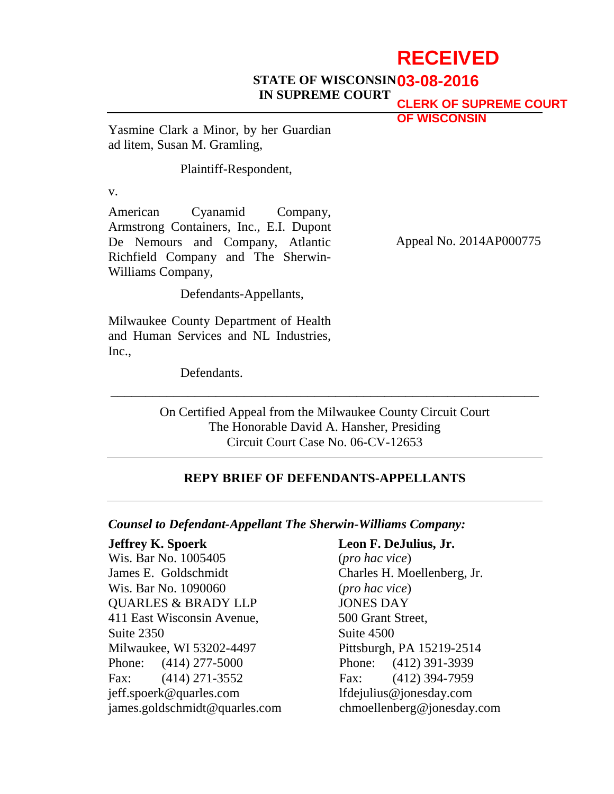# **RECEIVED**

#### **STATE OF WISCONSIN 03-08-2016 IN SUPREME COURT**

**CLERK OF SUPREME COURT OF WISCONSIN**

Yasmine Clark a Minor, by her Guardian ad litem, Susan M. Gramling,

Plaintiff-Respondent,

v.

American Cyanamid Company, Armstrong Containers, Inc., E.I. Dupont De Nemours and Company, Atlantic Richfield Company and The Sherwin-Williams Company,

Defendants-Appellants,

Milwaukee County Department of Health and Human Services and NL Industries, Inc.,

Defendants.

Appeal No. 2014AP000775

On Certified Appeal from the Milwaukee County Circuit Court The Honorable David A. Hansher, Presiding Circuit Court Case No. 06-CV-12653

\_\_\_\_\_\_\_\_\_\_\_\_\_\_\_\_\_\_\_\_\_\_\_\_\_\_\_\_\_\_\_\_\_\_\_\_\_\_\_\_\_\_\_\_\_\_\_\_\_\_\_\_\_\_\_\_\_\_\_\_\_

### **REPY BRIEF OF DEFENDANTS-APPELLANTS**

### *Counsel to Defendant-Appellant The Sherwin-Williams Company:*

**Jeffrey K. Spoerk**  Wis. Bar No. 1005405 James E. Goldschmidt Wis. Bar No. 1090060 QUARLES & BRADY LLP 411 East Wisconsin Avenue, Suite 2350 Milwaukee, WI 53202-4497 Phone: (414) 277-5000 Fax: (414) 271-3552 jeff.spoerk@quarles.com james.goldschmidt@quarles.com

### **Leon F. DeJulius, Jr.**

(*pro hac vice*) Charles H. Moellenberg, Jr. (*pro hac vice*) JONES DAY 500 Grant Street, Suite 4500 Pittsburgh, PA 15219-2514 Phone: (412) 391-3939 Fax: (412) 394-7959 lfdejulius@jonesday.com chmoellenberg@jonesday.com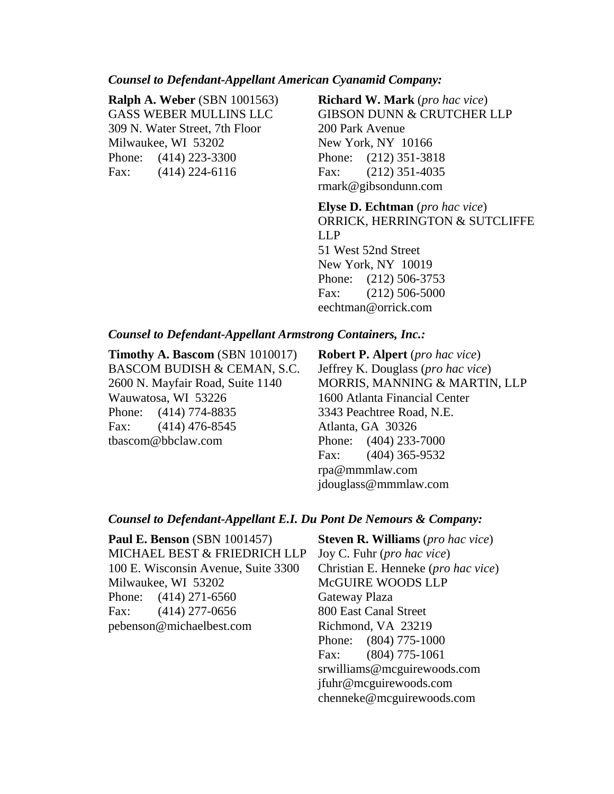#### *Counsel to Defendant-Appellant American Cyanamid Company:*

|      | <b>Ralph A. Weber (SBN 1001563)</b> |
|------|-------------------------------------|
|      | <b>GASS WEBER MULLINS LLC</b>       |
|      | 309 N. Water Street, 7th Floor      |
|      | Milwaukee, WI 53202                 |
|      | Phone: (414) 223-3300               |
| Fax: | $(414)$ 224-6116                    |

**Richard W. Mark** (*pro hac vice*) GIBSON DUNN & CRUTCHER LLP 200 Park Avenue New York, NY 10166 Phone: (212) 351-3818 Fax: (212) 351-4035 rmark@gibsondunn.com

**Elyse D. Echtman** (*pro hac vice*) ORRICK, HERRINGTON & SUTCLIFFE LLP 51 West 52nd Street New York, NY 10019 Phone: (212) 506-3753 Fax: (212) 506-5000 eechtman@orrick.com

### *Counsel to Defendant-Appellant Armstrong Containers, Inc.:*

**Timothy A. Bascom** (SBN 1010017) BASCOM BUDISH & CEMAN, S.C. 2600 N. Mayfair Road, Suite 1140 Wauwatosa, WI 53226 Phone: (414) 774-8835 Fax: (414) 476-8545 tbascom@bbclaw.com

**Robert P. Alpert** (*pro hac vice*) Jeffrey K. Douglass (*pro hac vice*) MORRIS, MANNING & MARTIN, LLP 1600 Atlanta Financial Center 3343 Peachtree Road, N.E. Atlanta, GA 30326 Phone: (404) 233-7000 Fax: (404) 365-9532 rpa@mmmlaw.com jdouglass@mmmlaw.com

#### *Counsel to Defendant-Appellant E.I. Du Pont De Nemours & Company:*

**Paul E. Benson** (SBN 1001457) MICHAEL BEST & FRIEDRICH LLP 100 E. Wisconsin Avenue, Suite 3300 Milwaukee, WI 53202 Phone: (414) 271-6560 Fax: (414) 277-0656 pebenson@michaelbest.com

**Steven R. Williams** (*pro hac vice*) Joy C. Fuhr (*pro hac vice*) Christian E. Henneke (*pro hac vice*) McGUIRE WOODS LLP Gateway Plaza 800 East Canal Street Richmond, VA 23219 Phone: (804) 775-1000 Fax: (804) 775-1061 srwilliams@mcguirewoods.com jfuhr@mcguirewoods.com chenneke@mcguirewoods.com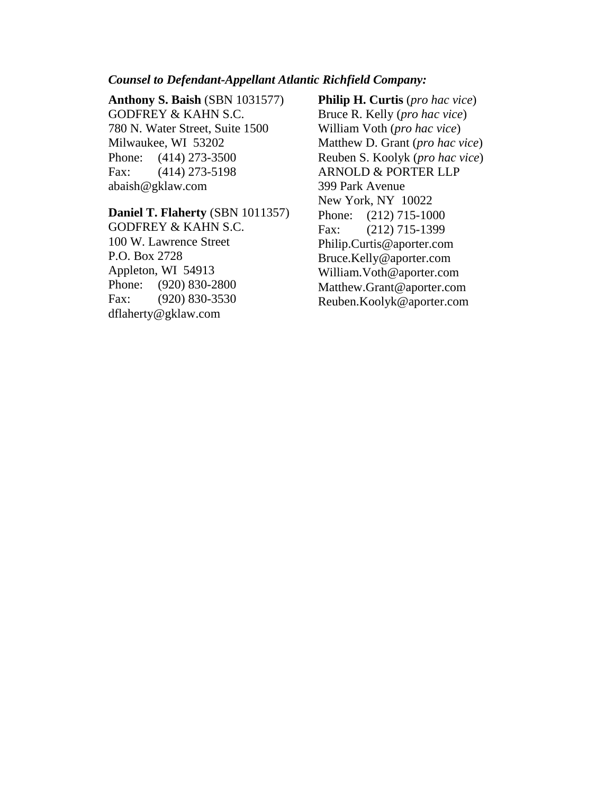#### *Counsel to Defendant-Appellant Atlantic Richfield Company:*

**Anthony S. Baish** (SBN 1031577) GODFREY & KAHN S.C. 780 N. Water Street, Suite 1500 Milwaukee, WI 53202 Phone: (414) 273-3500 Fax: (414) 273-5198 abaish@gklaw.com

#### **Daniel T. Flaherty** (SBN 1011357)

GODFREY & KAHN S.C. 100 W. Lawrence Street P.O. Box 2728 Appleton, WI 54913 Phone: (920) 830-2800 Fax: (920) 830-3530 dflaherty@gklaw.com

**Philip H. Curtis** (*pro hac vice*) Bruce R. Kelly (*pro hac vice*) William Voth (*pro hac vice*) Matthew D. Grant (*pro hac vice*) Reuben S. Koolyk (*pro hac vice*) ARNOLD & PORTER LLP 399 Park Avenue New York, NY 10022 Phone: (212) 715-1000 Fax: (212) 715-1399 Philip.Curtis@aporter.com Bruce.Kelly@aporter.com William.Voth@aporter.com Matthew.Grant@aporter.com Reuben.Koolyk@aporter.com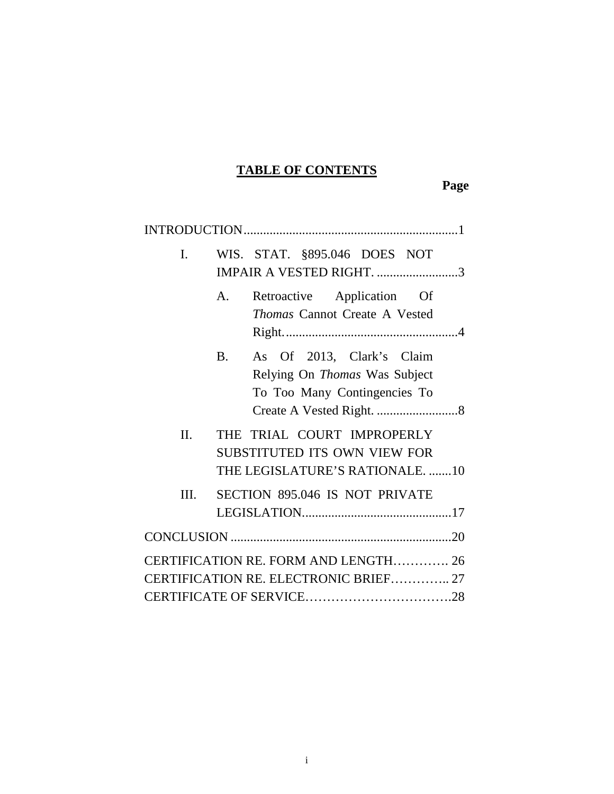## **TABLE OF CONTENTS**

**Page**

| L.   |           | WIS. STAT. §895.046 DOES NOT<br>IMPAIR A VESTED RIGHT. 3                                      |  |
|------|-----------|-----------------------------------------------------------------------------------------------|--|
|      | A.        | Retroactive Application Of<br><b>Thomas Cannot Create A Vested</b>                            |  |
|      | <b>B.</b> | As Of 2013, Clark's Claim<br>Relying On Thomas Was Subject<br>To Too Many Contingencies To    |  |
| II.  |           | THE TRIAL COURT IMPROPERLY<br>SUBSTITUTED ITS OWN VIEW FOR<br>THE LEGISLATURE'S RATIONALE. 10 |  |
| III. |           | <b>SECTION 895.046 IS NOT PRIVATE</b>                                                         |  |
|      |           |                                                                                               |  |
|      |           | CERTIFICATION RE. FORM AND LENGTH 26<br>CERTIFICATION RE. ELECTRONIC BRIEF 27                 |  |
|      |           |                                                                                               |  |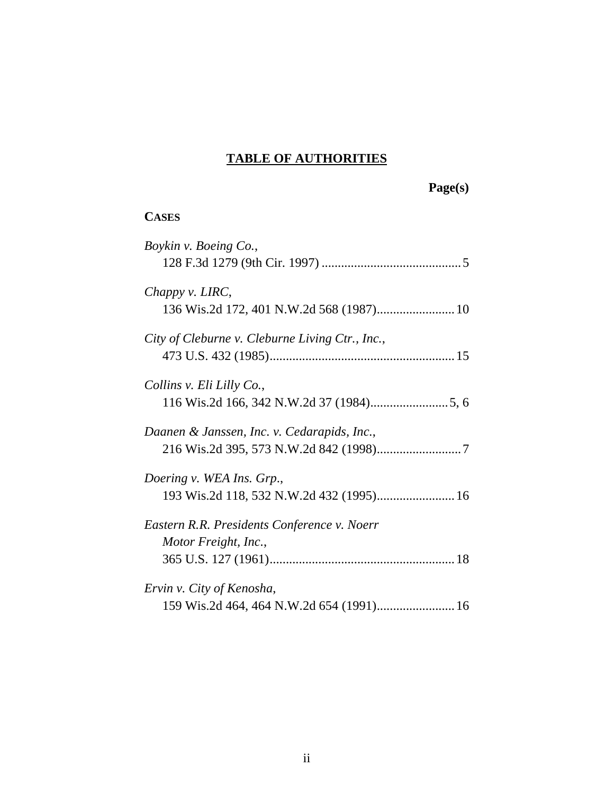### **TABLE OF AUTHORITIES**

**Page(s)**

### **CASES**

| Boykin v. Boeing Co.,                                                 |
|-----------------------------------------------------------------------|
| Chappy v. LIRC,                                                       |
| City of Cleburne v. Cleburne Living Ctr., Inc.,                       |
| Collins v. Eli Lilly Co.,                                             |
| Daanen & Janssen, Inc. v. Cedarapids, Inc.,                           |
| Doering v. WEA Ins. Grp.,                                             |
| Eastern R.R. Presidents Conference v. Noerr<br>Motor Freight, Inc.,   |
| Ervin v. City of Kenosha,<br>159 Wis.2d 464, 464 N.W.2d 654 (1991) 16 |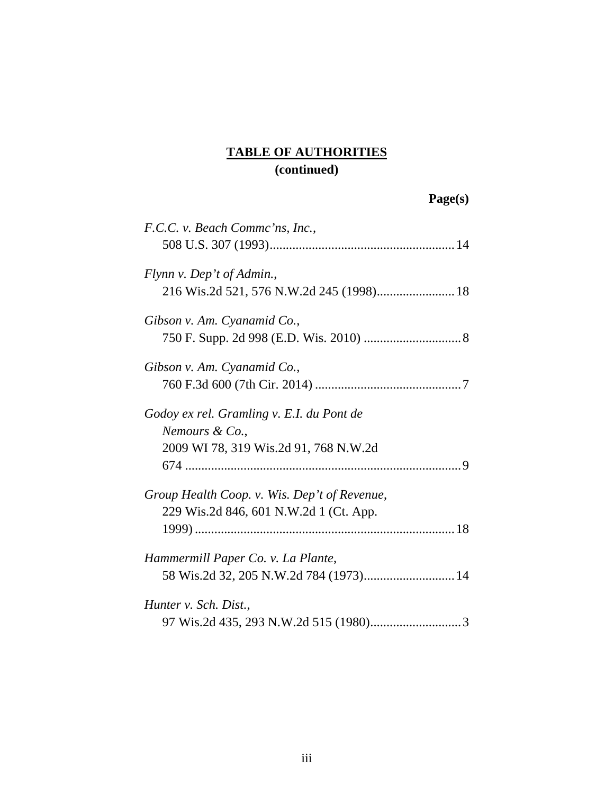| F.C.C. v. Beach Commc'ns, Inc.,              |  |
|----------------------------------------------|--|
|                                              |  |
| Flynn v. Dep't of Admin.,                    |  |
| 216 Wis.2d 521, 576 N.W.2d 245 (1998) 18     |  |
| Gibson v. Am. Cyanamid Co.,                  |  |
|                                              |  |
| Gibson v. Am. Cyanamid Co.,                  |  |
|                                              |  |
| Godoy ex rel. Gramling v. E.I. du Pont de    |  |
| Nemours & Co.,                               |  |
| 2009 WI 78, 319 Wis.2d 91, 768 N.W.2d        |  |
|                                              |  |
| Group Health Coop. v. Wis. Dep't of Revenue, |  |
| 229 Wis.2d 846, 601 N.W.2d 1 (Ct. App.       |  |
|                                              |  |
| Hammermill Paper Co. v. La Plante,           |  |
|                                              |  |
| Hunter v. Sch. Dist.,                        |  |
|                                              |  |
|                                              |  |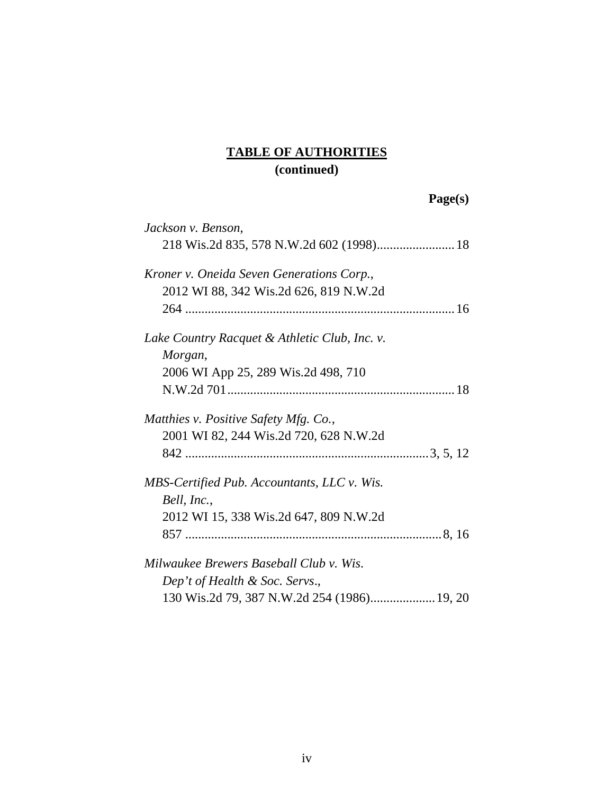| Jackson v. Benson,                            |  |
|-----------------------------------------------|--|
|                                               |  |
| Kroner v. Oneida Seven Generations Corp.,     |  |
| 2012 WI 88, 342 Wis.2d 626, 819 N.W.2d        |  |
|                                               |  |
| Lake Country Racquet & Athletic Club, Inc. v. |  |
| Morgan,                                       |  |
| 2006 WI App 25, 289 Wis.2d 498, 710           |  |
|                                               |  |
| Matthies v. Positive Safety Mfg. Co.,         |  |
| 2001 WI 82, 244 Wis.2d 720, 628 N.W.2d        |  |
|                                               |  |
| MBS-Certified Pub. Accountants, LLC v. Wis.   |  |
| Bell, Inc.,                                   |  |
| 2012 WI 15, 338 Wis.2d 647, 809 N.W.2d        |  |
|                                               |  |
| Milwaukee Brewers Baseball Club v. Wis.       |  |
| Dep't of Health & Soc. Servs.,                |  |
|                                               |  |
|                                               |  |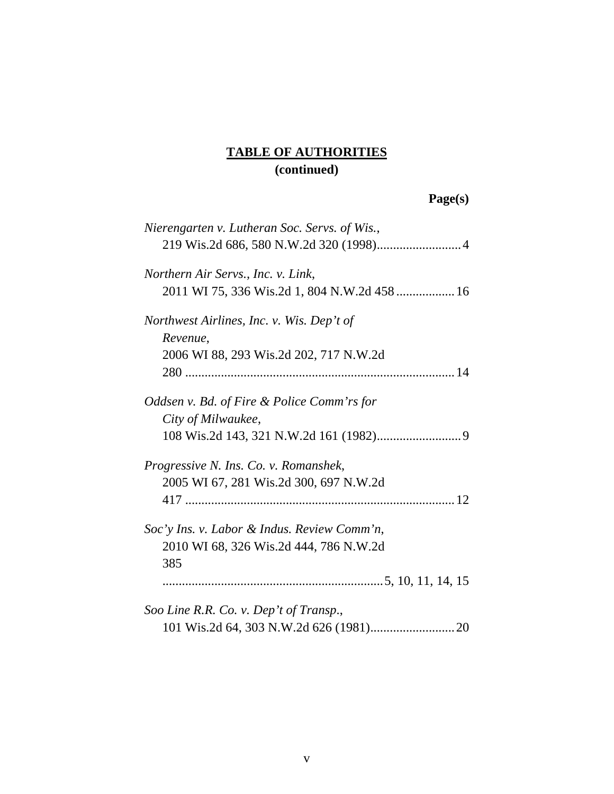| Nierengarten v. Lutheran Soc. Servs. of Wis., |
|-----------------------------------------------|
|                                               |
| Northern Air Servs., Inc. v. Link,            |
| 2011 WI 75, 336 Wis.2d 1, 804 N.W.2d 458  16  |
| Northwest Airlines, Inc. v. Wis. Dep't of     |
| Revenue,                                      |
| 2006 WI 88, 293 Wis.2d 202, 717 N.W.2d        |
|                                               |
| Oddsen v. Bd. of Fire & Police Comm'rs for    |
| City of Milwaukee,                            |
|                                               |
| Progressive N. Ins. Co. v. Romanshek,         |
| 2005 WI 67, 281 Wis.2d 300, 697 N.W.2d        |
|                                               |
| Soc'y Ins. v. Labor & Indus. Review Comm'n,   |
| 2010 WI 68, 326 Wis.2d 444, 786 N.W.2d        |
| 385                                           |
|                                               |
| Soo Line R.R. Co. v. Dep't of Transp.,        |
|                                               |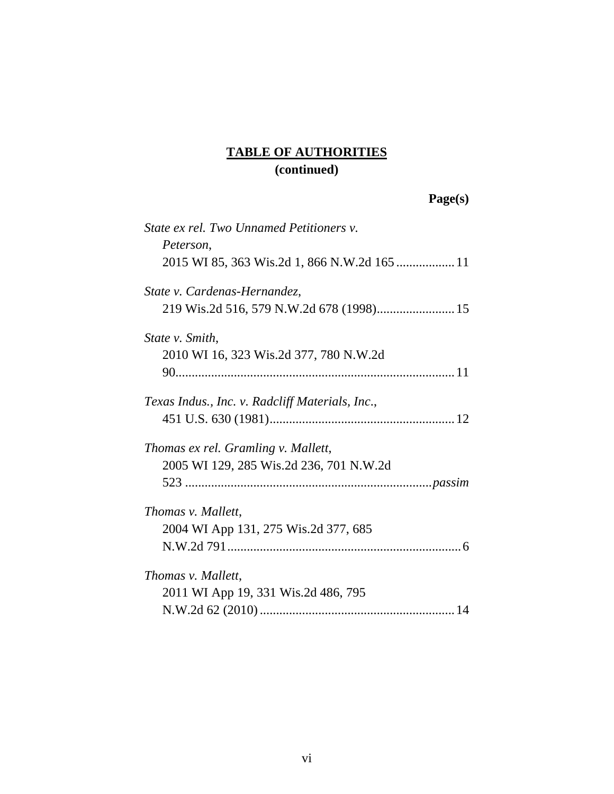| State ex rel. Two Unnamed Petitioners v.        |  |
|-------------------------------------------------|--|
| Peterson,                                       |  |
| 2015 WI 85, 363 Wis.2d 1, 866 N.W.2d 165  11    |  |
| State v. Cardenas-Hernandez,                    |  |
|                                                 |  |
| State v. Smith,                                 |  |
| 2010 WI 16, 323 Wis.2d 377, 780 N.W.2d          |  |
|                                                 |  |
| Texas Indus., Inc. v. Radcliff Materials, Inc., |  |
|                                                 |  |
| Thomas ex rel. Gramling v. Mallett,             |  |
| 2005 WI 129, 285 Wis.2d 236, 701 N.W.2d         |  |
|                                                 |  |
| Thomas v. Mallett,                              |  |
| 2004 WI App 131, 275 Wis.2d 377, 685            |  |
|                                                 |  |
| Thomas v. Mallett,                              |  |
| 2011 WI App 19, 331 Wis.2d 486, 795             |  |
|                                                 |  |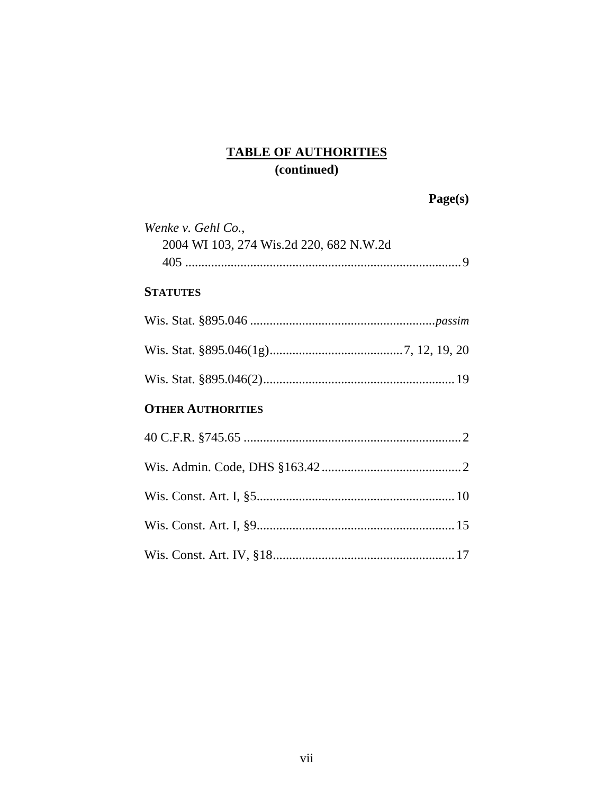| Page(s) |
|---------|
|         |

| Wenke v. Gehl Co.,<br>2004 WI 103, 274 Wis.2d 220, 682 N.W.2d |  |
|---------------------------------------------------------------|--|
| <b>STATUTES</b>                                               |  |
|                                                               |  |
|                                                               |  |
|                                                               |  |
| <b>OTHER AUTHORITIES</b>                                      |  |
|                                                               |  |
|                                                               |  |
|                                                               |  |
|                                                               |  |
|                                                               |  |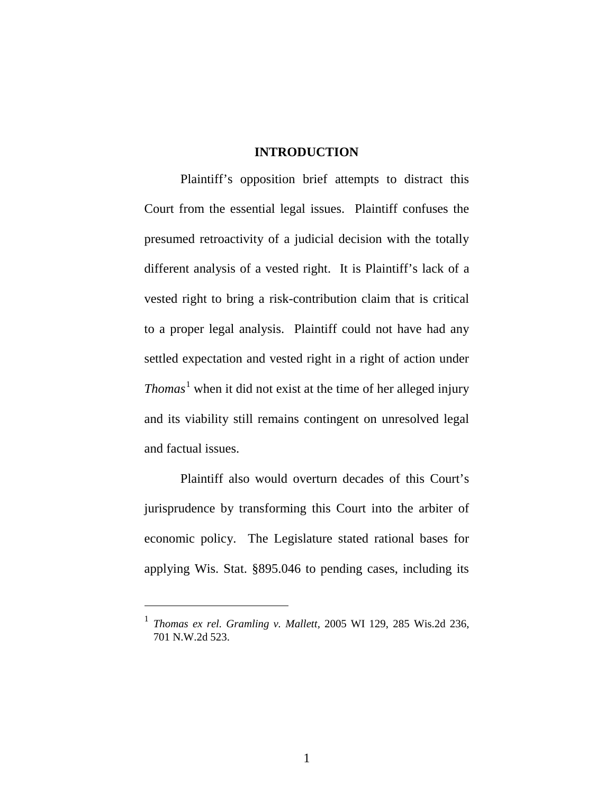#### **INTRODUCTION**

<span id="page-10-0"></span>Plaintiff's opposition brief attempts to distract this Court from the essential legal issues. Plaintiff confuses the presumed retroactivity of a judicial decision with the totally different analysis of a vested right. It is Plaintiff's lack of a vested right to bring a risk-contribution claim that is critical to a proper legal analysis. Plaintiff could not have had any settled expectation and vested right in a right of action under *Thomas*<sup>[1](#page-10-2)</sup> when it did not exist at the time of her alleged injury and its viability still remains contingent on unresolved legal and factual issues.

<span id="page-10-1"></span>Plaintiff also would overturn decades of this Court's jurisprudence by transforming this Court into the arbiter of economic policy. The Legislature stated rational bases for applying Wis. Stat. §895.046 to pending cases, including its

 $\overline{a}$ 

<span id="page-10-2"></span><sup>1</sup> *Thomas ex rel. Gramling v. Mallett,* 2005 WI 129, 285 Wis.2d 236, 701 N.W.2d 523.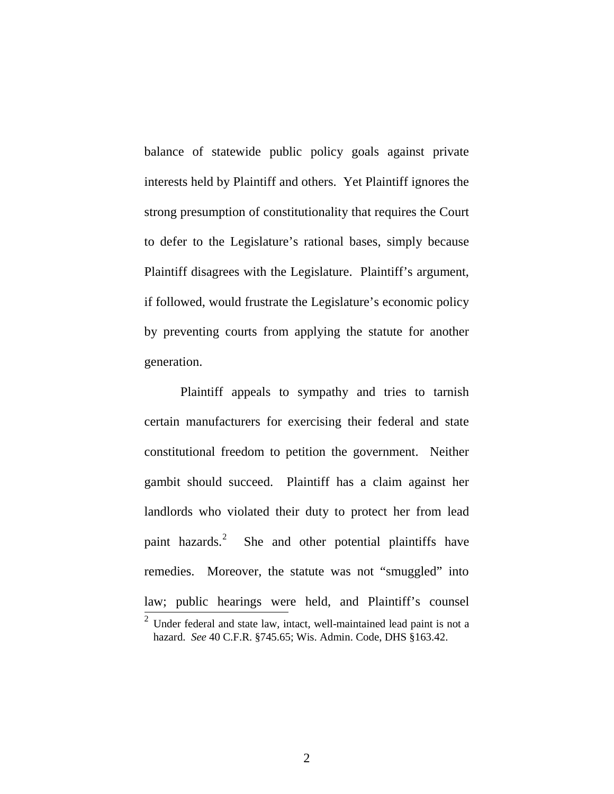balance of statewide public policy goals against private interests held by Plaintiff and others. Yet Plaintiff ignores the strong presumption of constitutionality that requires the Court to defer to the Legislature's rational bases, simply because Plaintiff disagrees with the Legislature. Plaintiff's argument, if followed, would frustrate the Legislature's economic policy by preventing courts from applying the statute for another generation.

Plaintiff appeals to sympathy and tries to tarnish certain manufacturers for exercising their federal and state constitutional freedom to petition the government. Neither gambit should succeed. Plaintiff has a claim against her landlords who violated their duty to protect her from lead paint hazards.<sup>[2](#page-11-2)</sup> She and other potential plaintiffs have remedies. Moreover, the statute was not "smuggled" into law; public hearings were held, and Plaintiff's counsel

<span id="page-11-2"></span><span id="page-11-1"></span><span id="page-11-0"></span> $2$  Under federal and state law, intact, well-maintained lead paint is not a hazard. *See* 40 C.F.R. §745.65; Wis. Admin. Code, DHS §163.42.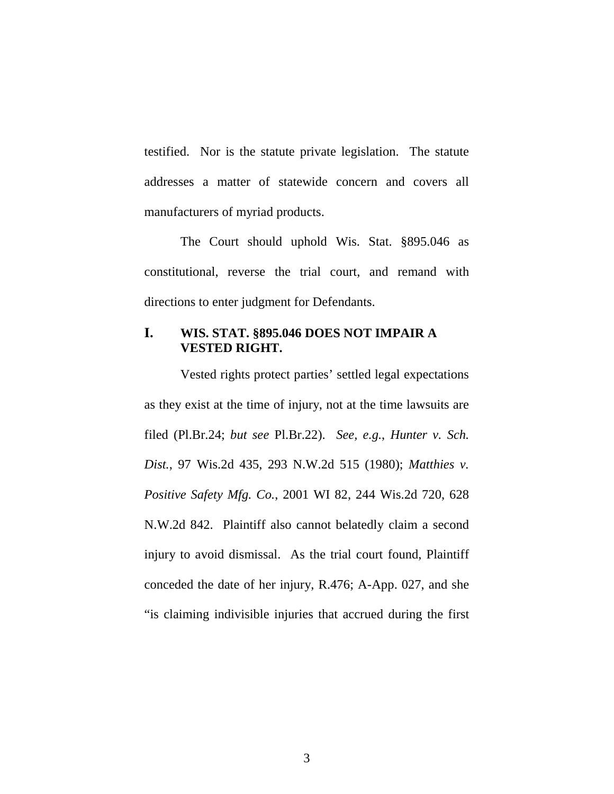testified. Nor is the statute private legislation. The statute addresses a matter of statewide concern and covers all manufacturers of myriad products.

The Court should uphold Wis. Stat. §895.046 as constitutional, reverse the trial court, and remand with directions to enter judgment for Defendants.

### <span id="page-12-0"></span>**I. WIS. STAT. §895.046 DOES NOT IMPAIR A VESTED RIGHT.**

<span id="page-12-2"></span><span id="page-12-1"></span>Vested rights protect parties' settled legal expectations as they exist at the time of injury, not at the time lawsuits are filed (Pl.Br.24; *but see* Pl.Br.22). *See, e.g.*, *Hunter v. Sch. Dist.*, 97 Wis.2d 435, 293 N.W.2d 515 (1980); *Matthies v. Positive Safety Mfg. Co.*, 2001 WI 82, 244 Wis.2d 720, 628 N.W.2d 842. Plaintiff also cannot belatedly claim a second injury to avoid dismissal. As the trial court found, Plaintiff conceded the date of her injury, R.476; A-App. 027, and she "is claiming indivisible injuries that accrued during the first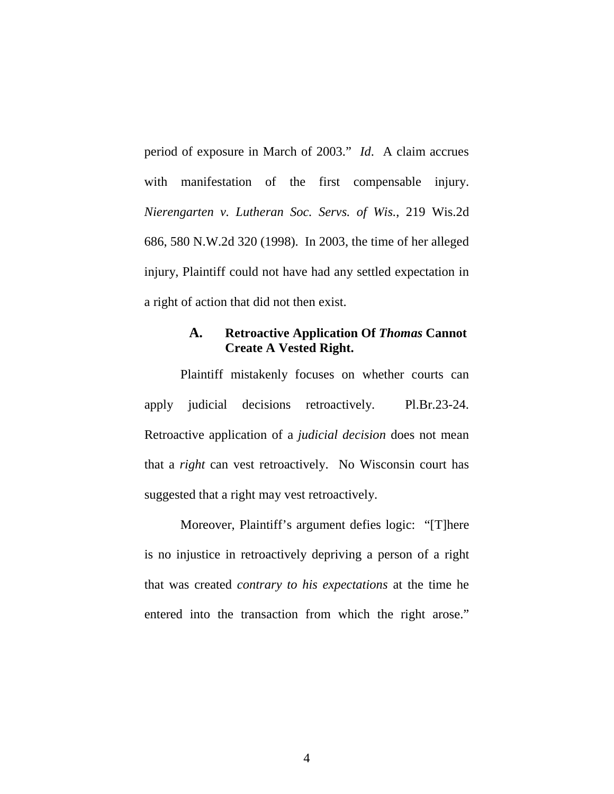<span id="page-13-1"></span>period of exposure in March of 2003." *Id*. A claim accrues with manifestation of the first compensable injury. *Nierengarten v. Lutheran Soc. Servs. of Wis.*, 219 Wis.2d 686, 580 N.W.2d 320 (1998). In 2003, the time of her alleged injury, Plaintiff could not have had any settled expectation in a right of action that did not then exist.

### <span id="page-13-0"></span>**A. Retroactive Application Of** *Thomas* **Cannot Create A Vested Right.**

Plaintiff mistakenly focuses on whether courts can apply judicial decisions retroactively. Pl.Br.23-24. Retroactive application of a *judicial decision* does not mean that a *right* can vest retroactively. No Wisconsin court has suggested that a right may vest retroactively.

Moreover, Plaintiff's argument defies logic: "[T]here is no injustice in retroactively depriving a person of a right that was created *contrary to his expectations* at the time he entered into the transaction from which the right arose."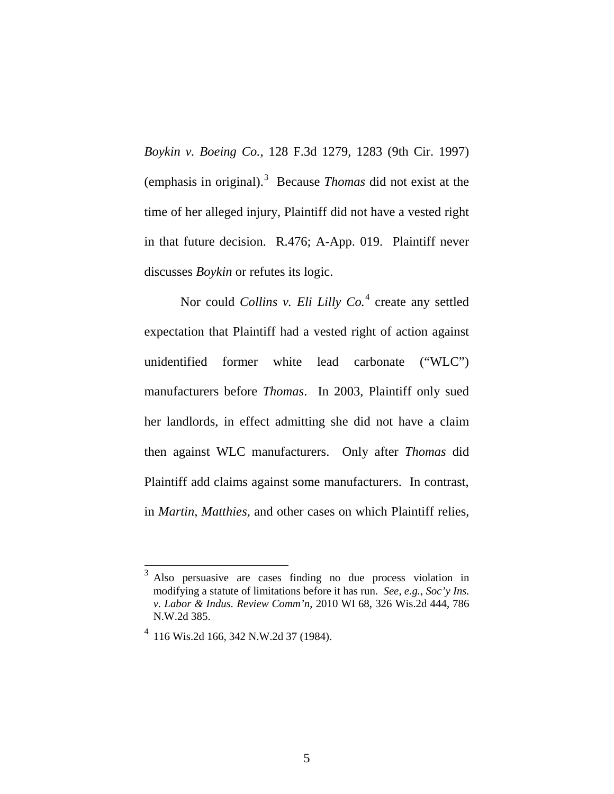<span id="page-14-0"></span>*Boykin v. Boeing Co.*, 128 F.3d 1279, 1283 (9th Cir. 1997) (emphasis in original).[3](#page-14-4) Because *Thomas* did not exist at the time of her alleged injury, Plaintiff did not have a vested right in that future decision. R.476; A-App. 019. Plaintiff never discusses *Boykin* or refutes its logic.

<span id="page-14-1"></span>Nor could *Collins v. Eli Lilly Co.*<sup>[4](#page-14-5)</sup> create any settled expectation that Plaintiff had a vested right of action against unidentified former white lead carbonate ("WLC") manufacturers before *Thomas*. In 2003, Plaintiff only sued her landlords, in effect admitting she did not have a claim then against WLC manufacturers. Only after *Thomas* did Plaintiff add claims against some manufacturers. In contrast, in *Martin, Matthies,* and other cases on which Plaintiff relies,

<span id="page-14-4"></span><span id="page-14-3"></span><span id="page-14-2"></span> <sup>3</sup> Also persuasive are cases finding no due process violation in modifying a statute of limitations before it has run. *See, e.g.*, *Soc'y Ins. v. Labor & Indus. Review Comm'n*, 2010 WI 68, 326 Wis.2d 444, 786 N.W.2d 385.

<span id="page-14-5"></span><sup>4</sup> 116 Wis.2d 166, 342 N.W.2d 37 (1984).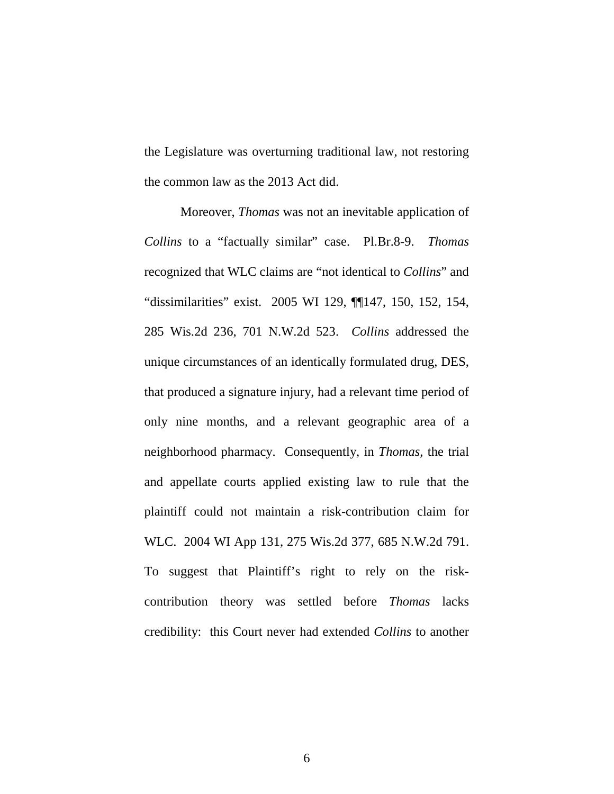the Legislature was overturning traditional law, not restoring the common law as the 2013 Act did.

<span id="page-15-1"></span><span id="page-15-0"></span>Moreover, *Thomas* was not an inevitable application of *Collins* to a "factually similar" case. Pl.Br.8-9. *Thomas* recognized that WLC claims are "not identical to *Collins*" and "dissimilarities" exist. 2005 WI 129, ¶¶147, 150, 152, 154, 285 Wis.2d 236, 701 N.W.2d 523. *Collins* addressed the unique circumstances of an identically formulated drug, DES, that produced a signature injury, had a relevant time period of only nine months, and a relevant geographic area of a neighborhood pharmacy. Consequently, in *Thomas,* the trial and appellate courts applied existing law to rule that the plaintiff could not maintain a risk-contribution claim for WLC. 2004 WI App 131, 275 Wis.2d 377, 685 N.W.2d 791. To suggest that Plaintiff's right to rely on the riskcontribution theory was settled before *Thomas* lacks credibility: this Court never had extended *Collins* to another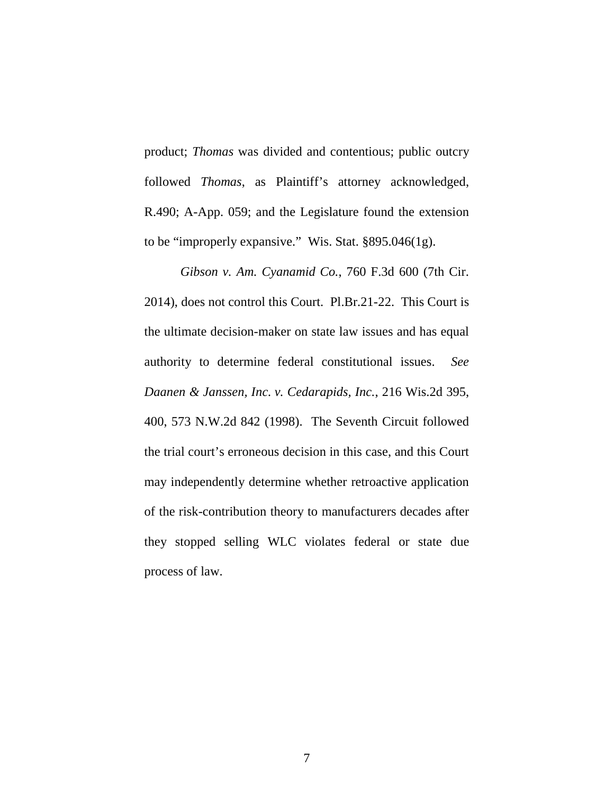product; *Thomas* was divided and contentious; public outcry followed *Thomas*, as Plaintiff's attorney acknowledged, R.490; A-App. 059; and the Legislature found the extension to be "improperly expansive." Wis. Stat. §895.046(1g).

<span id="page-16-2"></span><span id="page-16-1"></span><span id="page-16-0"></span>*Gibson v. Am. Cyanamid Co.*, 760 F.3d 600 (7th Cir. 2014), does not control this Court. Pl.Br.21-22. This Court is the ultimate decision-maker on state law issues and has equal authority to determine federal constitutional issues. *See Daanen & Janssen, Inc. v. Cedarapids, Inc.*, 216 Wis.2d 395, 400, 573 N.W.2d 842 (1998). The Seventh Circuit followed the trial court's erroneous decision in this case, and this Court may independently determine whether retroactive application of the risk-contribution theory to manufacturers decades after they stopped selling WLC violates federal or state due process of law.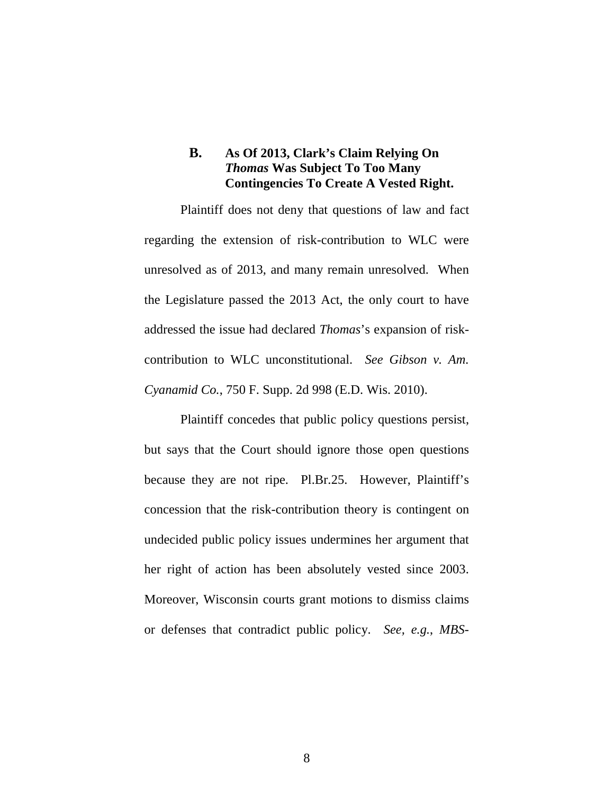### <span id="page-17-0"></span>**B. As Of 2013, Clark's Claim Relying On**  *Thomas* **Was Subject To Too Many Contingencies To Create A Vested Right.**

Plaintiff does not deny that questions of law and fact regarding the extension of risk-contribution to WLC were unresolved as of 2013, and many remain unresolved. When the Legislature passed the 2013 Act, the only court to have addressed the issue had declared *Thomas*'s expansion of riskcontribution to WLC unconstitutional. *See Gibson v. Am. Cyanamid Co.*, 750 F. Supp. 2d 998 (E.D. Wis. 2010).

<span id="page-17-2"></span><span id="page-17-1"></span>Plaintiff concedes that public policy questions persist, but says that the Court should ignore those open questions because they are not ripe. Pl.Br.25. However, Plaintiff's concession that the risk-contribution theory is contingent on undecided public policy issues undermines her argument that her right of action has been absolutely vested since 2003. Moreover, Wisconsin courts grant motions to dismiss claims or defenses that contradict public policy. *See, e.g.*, *MBS-*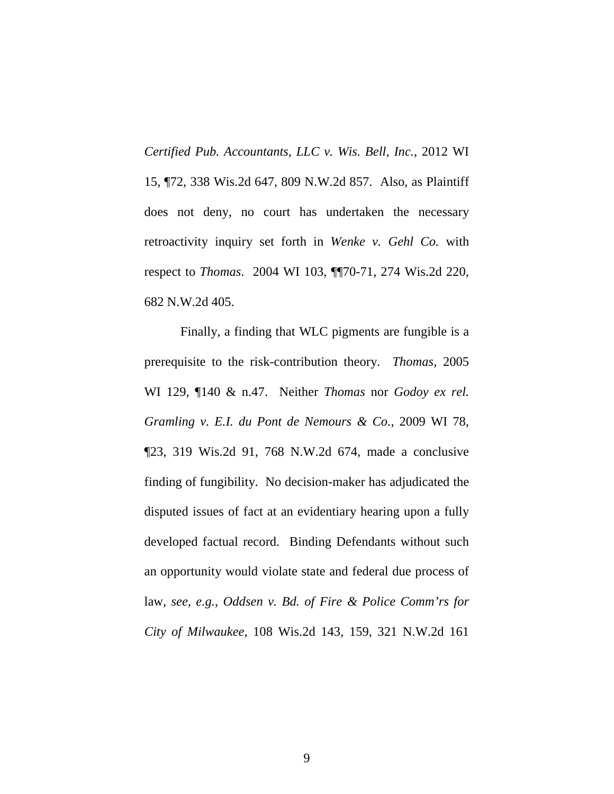<span id="page-18-2"></span>*Certified Pub. Accountants, LLC v. Wis. Bell, Inc.*, 2012 WI 15, ¶72, 338 Wis.2d 647, 809 N.W.2d 857. Also, as Plaintiff does not deny, no court has undertaken the necessary retroactivity inquiry set forth in *Wenke v. Gehl Co.* with respect to *Thomas*. 2004 WI 103, ¶¶70-71, 274 Wis.2d 220, 682 N.W.2d 405.

<span id="page-18-1"></span><span id="page-18-0"></span>Finally, a finding that WLC pigments are fungible is a prerequisite to the risk-contribution theory. *Thomas*, 2005 WI 129, ¶140 & n.47. Neither *Thomas* nor *Godoy ex rel. Gramling v. E.I. du Pont de Nemours & Co.*, 2009 WI 78, ¶23, 319 Wis.2d 91, 768 N.W.2d 674, made a conclusive finding of fungibility. No decision-maker has adjudicated the disputed issues of fact at an evidentiary hearing upon a fully developed factual record. Binding Defendants without such an opportunity would violate state and federal due process of law, *see, e.g.*, *Oddsen v. Bd. of Fire & Police Comm'rs for City of Milwaukee*, 108 Wis.2d 143, 159, 321 N.W.2d 161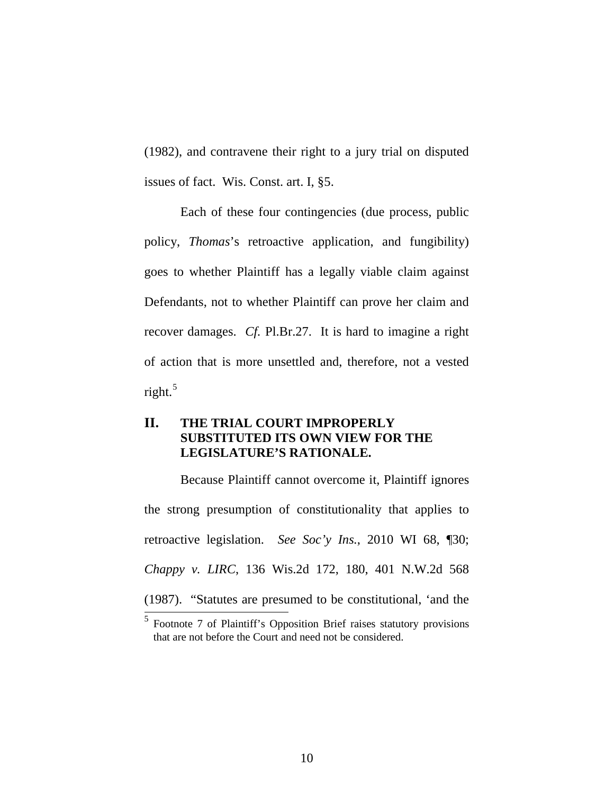<span id="page-19-3"></span>(1982), and contravene their right to a jury trial on disputed issues of fact. Wis. Const. art. I, §5.

Each of these four contingencies (due process, public policy, *Thomas*'s retroactive application, and fungibility) goes to whether Plaintiff has a legally viable claim against Defendants, not to whether Plaintiff can prove her claim and recover damages. *Cf.* Pl.Br.27. It is hard to imagine a right of action that is more unsettled and, therefore, not a vested right.<sup>[5](#page-19-4)</sup>

### <span id="page-19-0"></span>**II. THE TRIAL COURT IMPROPERLY SUBSTITUTED ITS OWN VIEW FOR THE LEGISLATURE'S RATIONALE.**

<span id="page-19-2"></span>Because Plaintiff cannot overcome it, Plaintiff ignores the strong presumption of constitutionality that applies to retroactive legislation. *See Soc'y Ins.*, 2010 WI 68, ¶30; *Chappy v. LIRC*, 136 Wis.2d 172, 180, 401 N.W.2d 568 (1987). "Statutes are presumed to be constitutional, 'and the  $\frac{1}{5}$  Footnote 7 of Plaintiff's Opposition Brief raises statutory provisions

<span id="page-19-4"></span><span id="page-19-1"></span>that are not before the Court and need not be considered.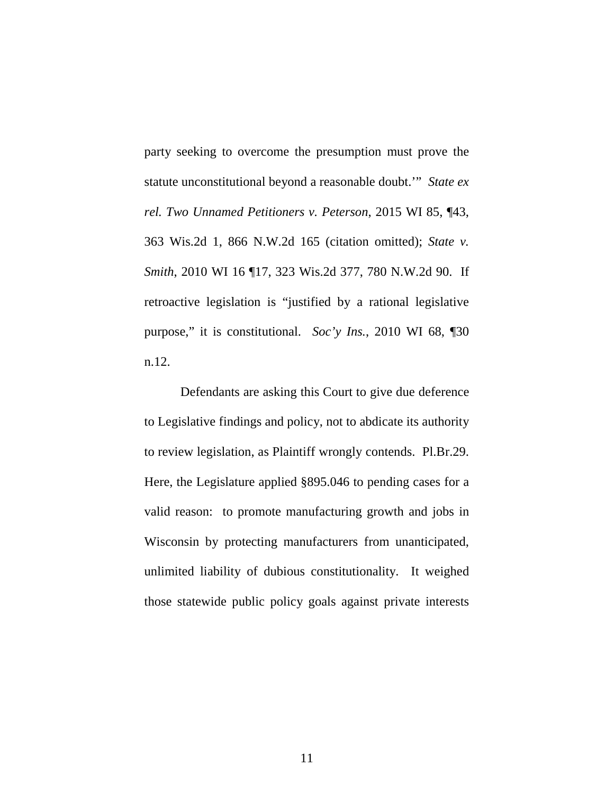<span id="page-20-2"></span><span id="page-20-1"></span>party seeking to overcome the presumption must prove the statute unconstitutional beyond a reasonable doubt.'" *State ex rel. Two Unnamed Petitioners v. Peterson*, 2015 WI 85, ¶43, 363 Wis.2d 1, 866 N.W.2d 165 (citation omitted); *State v. Smith*, 2010 WI 16 ¶17, 323 Wis.2d 377, 780 N.W.2d 90. If retroactive legislation is "justified by a rational legislative purpose," it is constitutional. *Soc'y Ins.*, 2010 WI 68, ¶30 n.12.

<span id="page-20-0"></span>Defendants are asking this Court to give due deference to Legislative findings and policy, not to abdicate its authority to review legislation, as Plaintiff wrongly contends. Pl.Br.29. Here, the Legislature applied §895.046 to pending cases for a valid reason: to promote manufacturing growth and jobs in Wisconsin by protecting manufacturers from unanticipated, unlimited liability of dubious constitutionality. It weighed those statewide public policy goals against private interests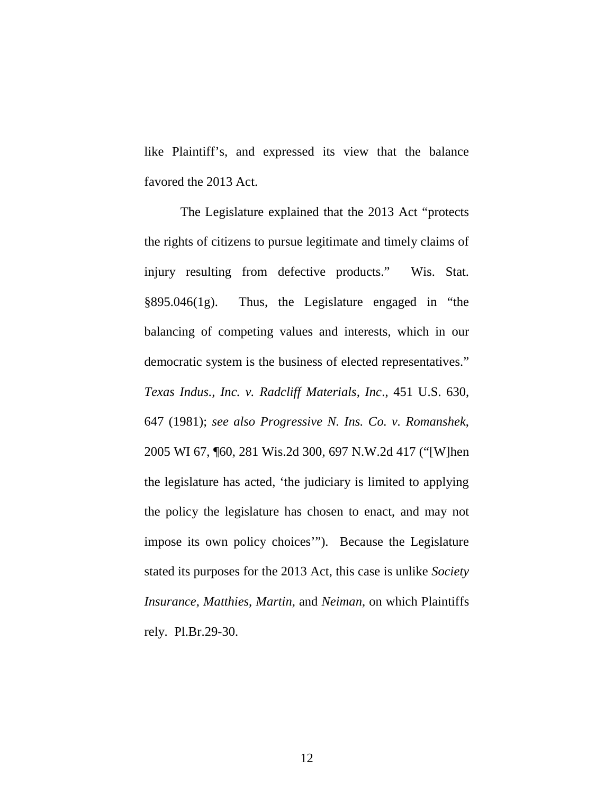like Plaintiff's, and expressed its view that the balance favored the 2013 Act.

<span id="page-21-3"></span><span id="page-21-2"></span><span id="page-21-1"></span><span id="page-21-0"></span>The Legislature explained that the 2013 Act "protects the rights of citizens to pursue legitimate and timely claims of injury resulting from defective products." Wis. Stat. §895.046(1g). Thus, the Legislature engaged in "the balancing of competing values and interests, which in our democratic system is the business of elected representatives." *Texas Indus., Inc. v. Radcliff Materials, Inc*., 451 U.S. 630, 647 (1981); *see also Progressive N. Ins. Co. v. Romanshek*, 2005 WI 67, ¶60, 281 Wis.2d 300, 697 N.W.2d 417 ("[W]hen the legislature has acted, 'the judiciary is limited to applying the policy the legislature has chosen to enact, and may not impose its own policy choices'"). Because the Legislature stated its purposes for the 2013 Act, this case is unlike *Society Insurance*, *Matthies*, *Martin*, and *Neiman*, on which Plaintiffs rely. Pl.Br.29-30.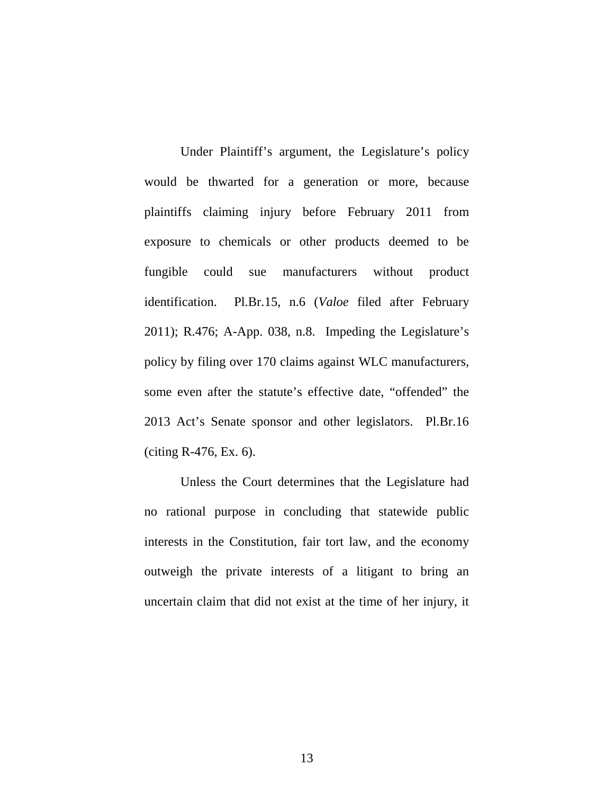Under Plaintiff's argument, the Legislature's policy would be thwarted for a generation or more, because plaintiffs claiming injury before February 2011 from exposure to chemicals or other products deemed to be fungible could sue manufacturers without product identification. Pl.Br.15, n.6 (*Valoe* filed after February 2011); R.476; A-App. 038, n.8. Impeding the Legislature's policy by filing over 170 claims against WLC manufacturers, some even after the statute's effective date, "offended" the 2013 Act's Senate sponsor and other legislators. Pl.Br.16 (citing R-476, Ex. 6).

Unless the Court determines that the Legislature had no rational purpose in concluding that statewide public interests in the Constitution, fair tort law, and the economy outweigh the private interests of a litigant to bring an uncertain claim that did not exist at the time of her injury, it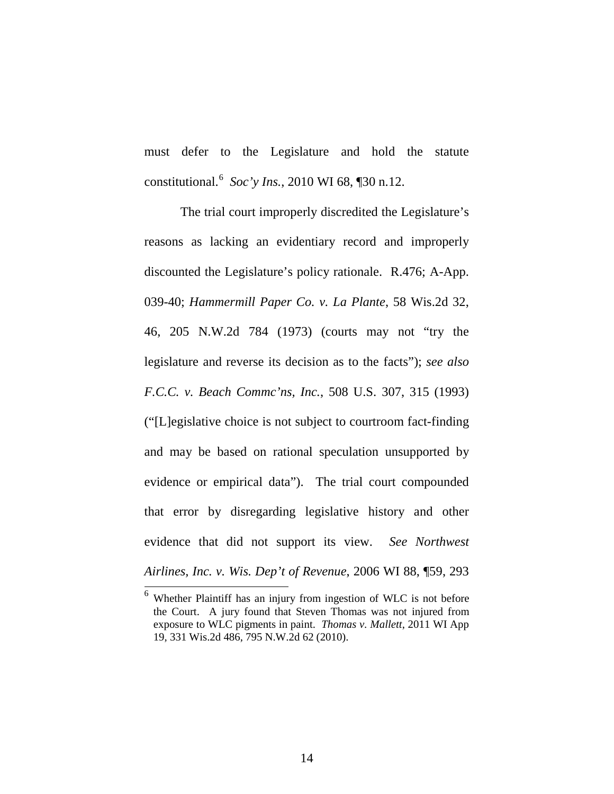<span id="page-23-3"></span>must defer to the Legislature and hold the statute constitutional.[6](#page-23-5) *Soc'y Ins.*, 2010 WI 68, ¶30 n.12.

<span id="page-23-1"></span><span id="page-23-0"></span>The trial court improperly discredited the Legislature's reasons as lacking an evidentiary record and improperly discounted the Legislature's policy rationale. R.476; A-App. 039-40; *Hammermill Paper Co. v. La Plante*, 58 Wis.2d 32, 46, 205 N.W.2d 784 (1973) (courts may not "try the legislature and reverse its decision as to the facts"); *see also F.C.C. v. Beach Commc'ns, Inc.*, 508 U.S. 307, 315 (1993) ("[L]egislative choice is not subject to courtroom fact-finding and may be based on rational speculation unsupported by evidence or empirical data"). The trial court compounded that error by disregarding legislative history and other evidence that did not support its view. *See Northwest Airlines, Inc. v. Wis. Dep't of Revenue*, 2006 WI 88, ¶59, 293

<span id="page-23-5"></span><span id="page-23-4"></span><span id="page-23-2"></span> $6$  Whether Plaintiff has an injury from ingestion of WLC is not before the Court. A jury found that Steven Thomas was not injured from exposure to WLC pigments in paint. *Thomas v. Mallett*, 2011 WI App 19, 331 Wis.2d 486, 795 N.W.2d 62 (2010).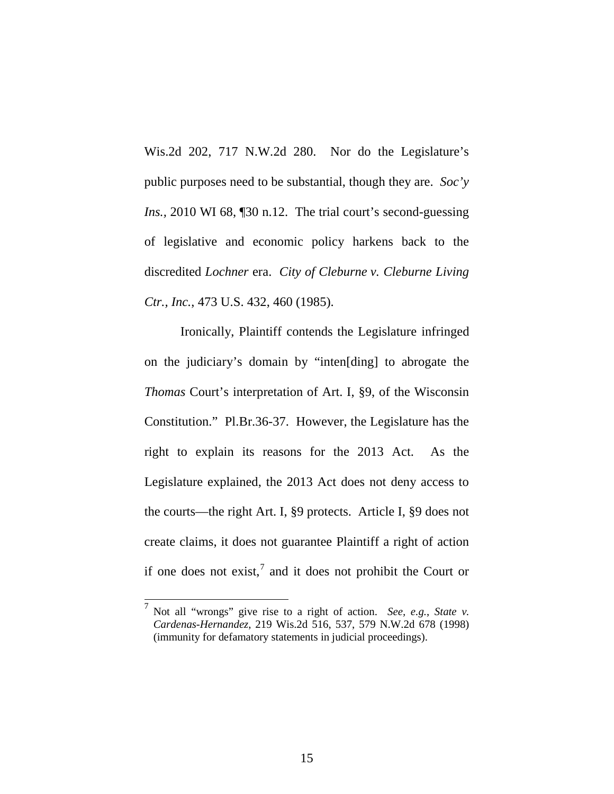<span id="page-24-1"></span>Wis.2d 202, 717 N.W.2d 280. Nor do the Legislature's public purposes need to be substantial, though they are. *Soc'y Ins., 2010* WI 68, 130 n.12. The trial court's second-guessing of legislative and economic policy harkens back to the discredited *Lochner* era. *City of Cleburne v. Cleburne Living Ctr., Inc.*, 473 U.S. 432, 460 (1985).

<span id="page-24-3"></span><span id="page-24-0"></span>Ironically, Plaintiff contends the Legislature infringed on the judiciary's domain by "inten[ding] to abrogate the *Thomas* Court's interpretation of Art. I, §9, of the Wisconsin Constitution." Pl.Br.36-37. However, the Legislature has the right to explain its reasons for the 2013 Act. As the Legislature explained, the 2013 Act does not deny access to the courts—the right Art. I, §9 protects. Article I, §9 does not create claims, it does not guarantee Plaintiff a right of action if one does not exist, $^7$  $^7$  and it does not prohibit the Court or

<span id="page-24-4"></span><span id="page-24-2"></span> <sup>7</sup> Not all "wrongs" give rise to a right of action. *See, e.g.*, *State v. Cardenas-Hernandez*, 219 Wis.2d 516, 537, 579 N.W.2d 678 (1998) (immunity for defamatory statements in judicial proceedings).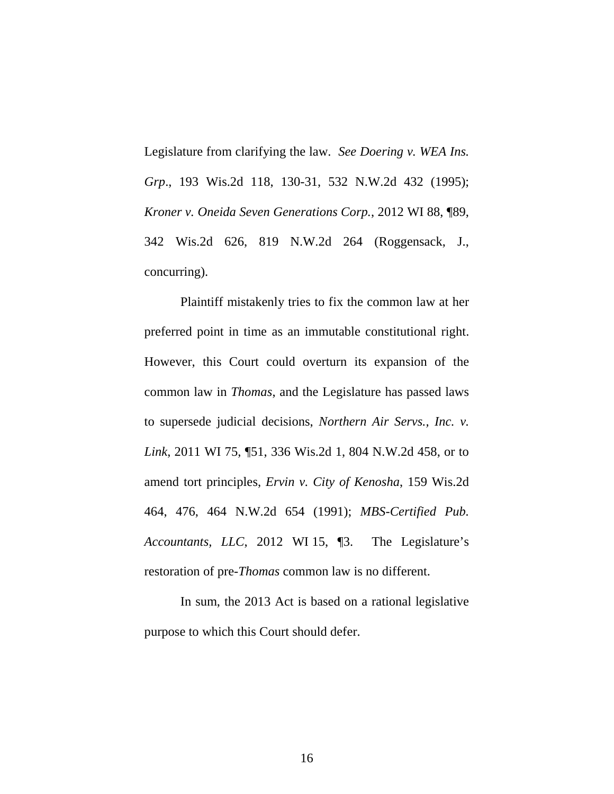<span id="page-25-2"></span><span id="page-25-0"></span>Legislature from clarifying the law. *See Doering v. WEA Ins. Grp*., 193 Wis.2d 118, 130-31, 532 N.W.2d 432 (1995); *Kroner v. Oneida Seven Generations Corp.*, 2012 WI 88, ¶89, 342 Wis.2d 626, 819 N.W.2d 264 (Roggensack, J., concurring).

<span id="page-25-4"></span>Plaintiff mistakenly tries to fix the common law at her preferred point in time as an immutable constitutional right. However, this Court could overturn its expansion of the common law in *Thomas*, and the Legislature has passed laws to supersede judicial decisions, *Northern Air Servs., Inc. v. Link*, 2011 WI 75, ¶51, 336 Wis.2d 1, 804 N.W.2d 458, or to amend tort principles, *Ervin v. City of Kenosha*, 159 Wis.2d 464, 476, 464 N.W.2d 654 (1991); *MBS-Certified Pub. Accountants, LLC*, 2012 WI 15, ¶3. The Legislature's restoration of pre-*Thomas* common law is no different.

<span id="page-25-3"></span><span id="page-25-1"></span>In sum, the 2013 Act is based on a rational legislative purpose to which this Court should defer.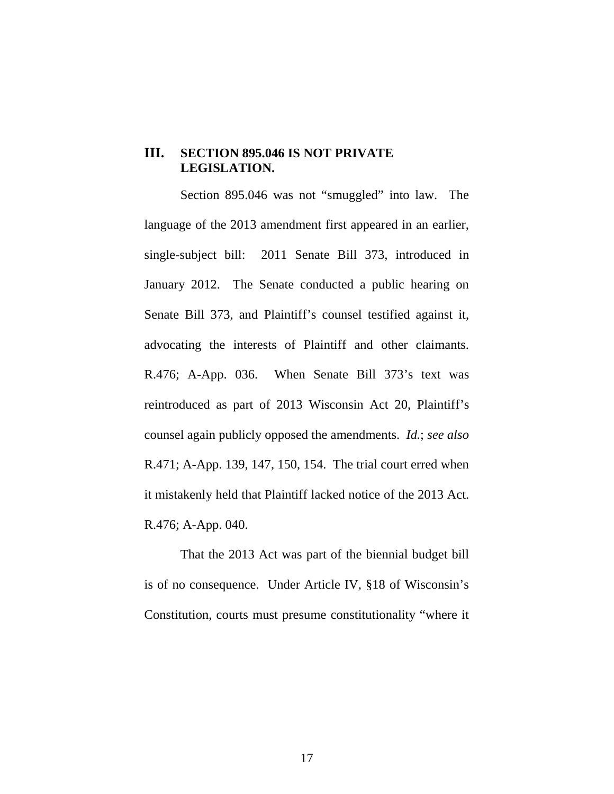### <span id="page-26-0"></span>**III. SECTION 895.046 IS NOT PRIVATE LEGISLATION.**

Section 895.046 was not "smuggled" into law. The language of the 2013 amendment first appeared in an earlier, single-subject bill: 2011 Senate Bill 373, introduced in January 2012. The Senate conducted a public hearing on Senate Bill 373, and Plaintiff's counsel testified against it, advocating the interests of Plaintiff and other claimants. R.476; A-App. 036. When Senate Bill 373's text was reintroduced as part of 2013 Wisconsin Act 20, Plaintiff's counsel again publicly opposed the amendments. *Id.*; *see also*  R.471; A-App. 139, 147, 150, 154. The trial court erred when it mistakenly held that Plaintiff lacked notice of the 2013 Act. R.476; A-App. 040.

<span id="page-26-1"></span>That the 2013 Act was part of the biennial budget bill is of no consequence. Under Article IV, §18 of Wisconsin's Constitution, courts must presume constitutionality "where it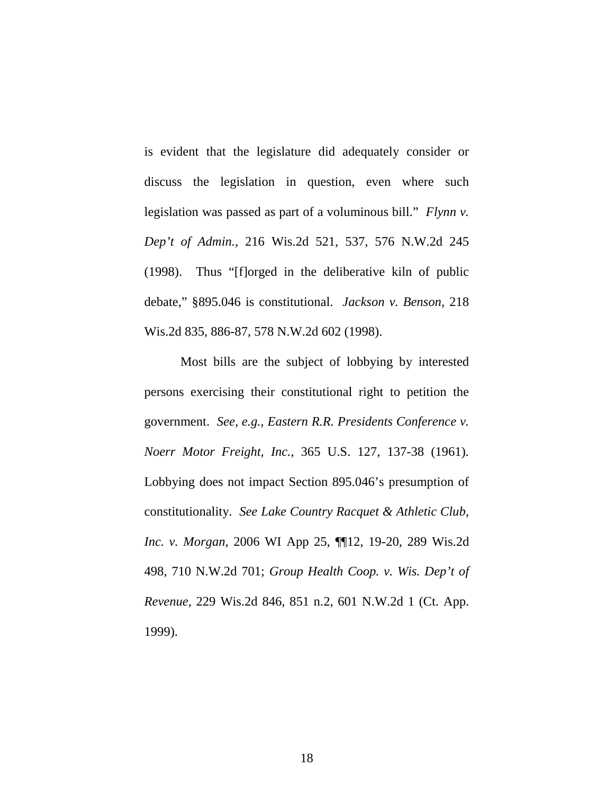<span id="page-27-1"></span>is evident that the legislature did adequately consider or discuss the legislation in question, even where such legislation was passed as part of a voluminous bill." *Flynn v. Dep't of Admin.*, 216 Wis.2d 521, 537, 576 N.W.2d 245 (1998). Thus "[f]orged in the deliberative kiln of public debate," §895.046 is constitutional. *Jackson v. Benson*, 218 Wis.2d 835, 886-87, 578 N.W.2d 602 (1998).

<span id="page-27-4"></span><span id="page-27-3"></span><span id="page-27-2"></span><span id="page-27-0"></span>Most bills are the subject of lobbying by interested persons exercising their constitutional right to petition the government. *See, e.g., Eastern R.R. Presidents Conference v. Noerr Motor Freight, Inc.*, 365 U.S. 127, 137-38 (1961). Lobbying does not impact Section 895.046's presumption of constitutionality. *See Lake Country Racquet & Athletic Club, Inc. v. Morgan*, 2006 WI App 25, ¶¶12, 19-20, 289 Wis.2d 498, 710 N.W.2d 701; *Group Health Coop. v. Wis. Dep't of Revenue,* 229 Wis.2d 846, 851 n.2, 601 N.W.2d 1 (Ct. App. 1999).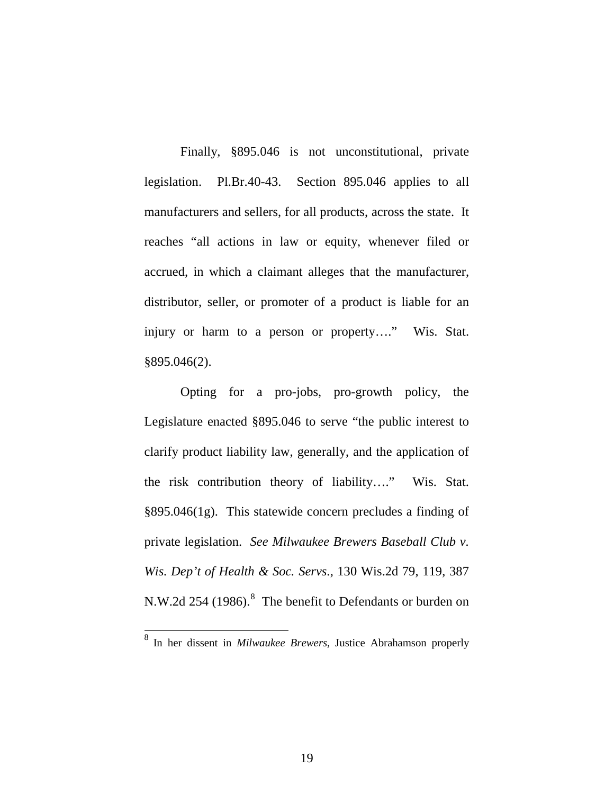Finally, §895.046 is not unconstitutional, private legislation. Pl.Br.40-43. Section 895.046 applies to all manufacturers and sellers, for all products, across the state. It reaches "all actions in law or equity, whenever filed or accrued, in which a claimant alleges that the manufacturer, distributor, seller, or promoter of a product is liable for an injury or harm to a person or property…." Wis. Stat. §895.046(2).

<span id="page-28-2"></span><span id="page-28-1"></span>Opting for a pro-jobs, pro-growth policy, the Legislature enacted §895.046 to serve "the public interest to clarify product liability law, generally, and the application of the risk contribution theory of liability…." Wis. Stat. §895.046(1g). This statewide concern precludes a finding of private legislation. *See Milwaukee Brewers Baseball Club v. Wis. Dep't of Health & Soc. Servs*., 130 Wis.2d 79, 119, 387 N.W.2d 254 (19[8](#page-28-3)6).<sup>8</sup> The benefit to Defendants or burden on

<span id="page-28-3"></span><span id="page-28-0"></span> <sup>8</sup> In her dissent in *Milwaukee Brewers,* Justice Abrahamson properly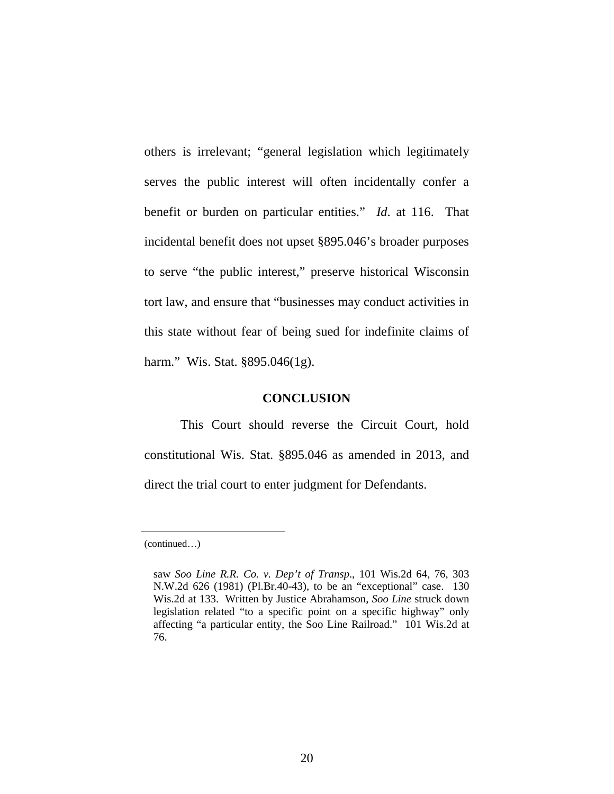others is irrelevant; "general legislation which legitimately serves the public interest will often incidentally confer a benefit or burden on particular entities." *Id*. at 116. That incidental benefit does not upset §895.046's broader purposes to serve "the public interest," preserve historical Wisconsin tort law, and ensure that "businesses may conduct activities in this state without fear of being sued for indefinite claims of harm." Wis. Stat. §895.046(1g).

#### <span id="page-29-2"></span>**CONCLUSION**

<span id="page-29-0"></span>This Court should reverse the Circuit Court, hold constitutional Wis. Stat. §895.046 as amended in 2013, and direct the trial court to enter judgment for Defendants.

<sup>(</sup>continued…)

<span id="page-29-1"></span>saw *Soo Line R.R. Co. v. Dep't of Transp*., 101 Wis.2d 64, 76, 303 N.W.2d 626 (1981) (Pl.Br.40-43), to be an "exceptional" case. 130 Wis.2d at 133. Written by Justice Abrahamson, *Soo Line* struck down legislation related "to a specific point on a specific highway" only affecting "a particular entity, the Soo Line Railroad." 101 Wis.2d at 76.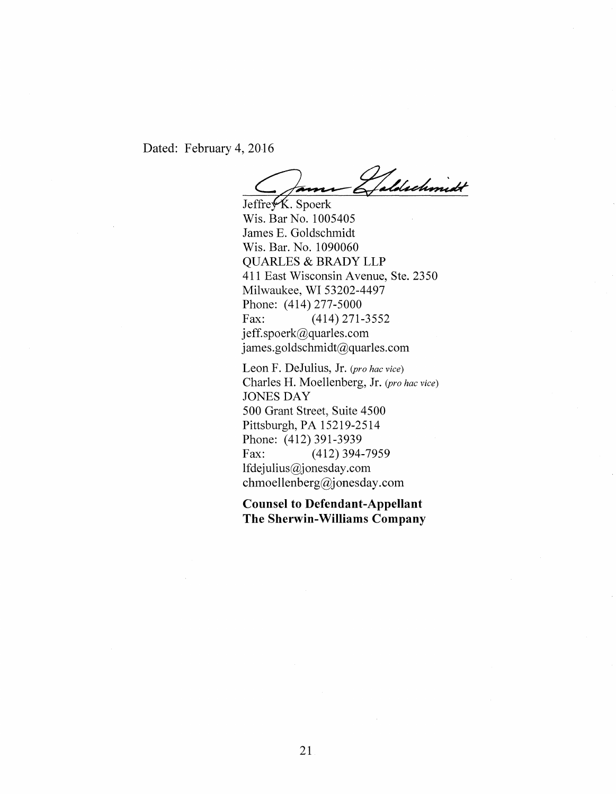Dated: February 4, 2016

James Galdechmidt

Wis. Bar No. 1005405 James E. Goldschmidt Wis. Bar. No. 1090060 QUARLES & BRADY LLP 411 East Wisconsin Avenue, Ste. 2350 Milwaukee, WI 53202-4497 Phone: (414) 277-5000 Fax: (414) 271-3552 jeff.spoerk@quarles.com james.goldschmidt@quarles.com

Leon F. DeJulius, Jr. *(pro hac vice)*  Charles H. Moellenberg, Jr. *(pro hac vice)*  JONES DAY 500 Grant Street; Suite 4500 Pittsburgh, PA 15219-2514 Phone: (412) 391-3939 Fax: (412) 394-7959 lfdejulius@jonesday.com chmoellenberg@jonesday.com

**Counsel to Defendant-Appellant The Sherwin-Williams Company**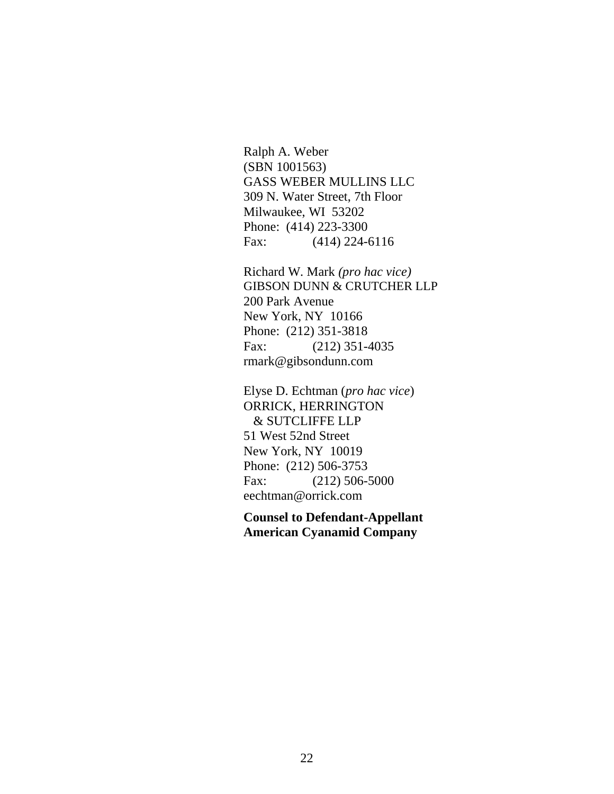Ralph A. Weber (SBN 1001563) GASS WEBER MULLINS LLC 309 N. Water Street, 7th Floor Milwaukee, WI 53202 Phone: (414) 223-3300 Fax: (414) 224-6116

Richard W. Mark *(pro hac vice)* GIBSON DUNN & CRUTCHER LLP 200 Park Avenue New York, NY 10166 Phone: (212) 351-3818 Fax: (212) 351-4035 rmark@gibsondunn.com

Elyse D. Echtman (*pro hac vice*) ORRICK, HERRINGTON & SUTCLIFFE LLP 51 West 52nd Street New York, NY 10019 Phone: (212) 506-3753 Fax: (212) 506-5000 eechtman@orrick.com

**Counsel to Defendant-Appellant American Cyanamid Company**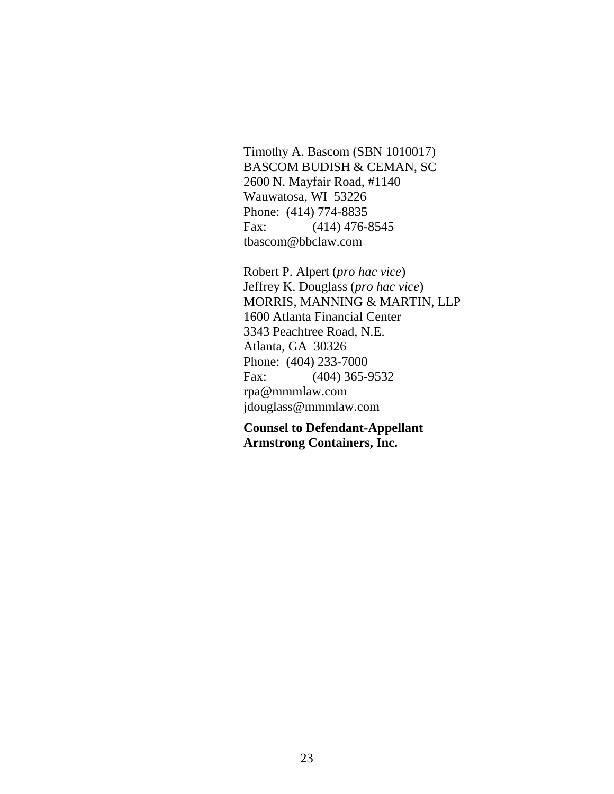Timothy A. Bascom (SBN 1010017) BASCOM BUDISH & CEMAN, SC 2600 N. Mayfair Road, #1140 Wauwatosa, WI 53226 Phone: (414) 774-8835 Fax: (414) 476-8545 tbascom@bbclaw.com

Robert P. Alpert (*pro hac vice*) Jeffrey K. Douglass (*pro hac vice*) MORRIS, MANNING & MARTIN, LLP 1600 Atlanta Financial Center 3343 Peachtree Road, N.E. Atlanta, GA 30326 Phone: (404) 233-7000 Fax: (404) 365-9532 rpa@mmmlaw.com jdouglass@mmmlaw.com

**Counsel to Defendant-Appellant Armstrong Containers, Inc.**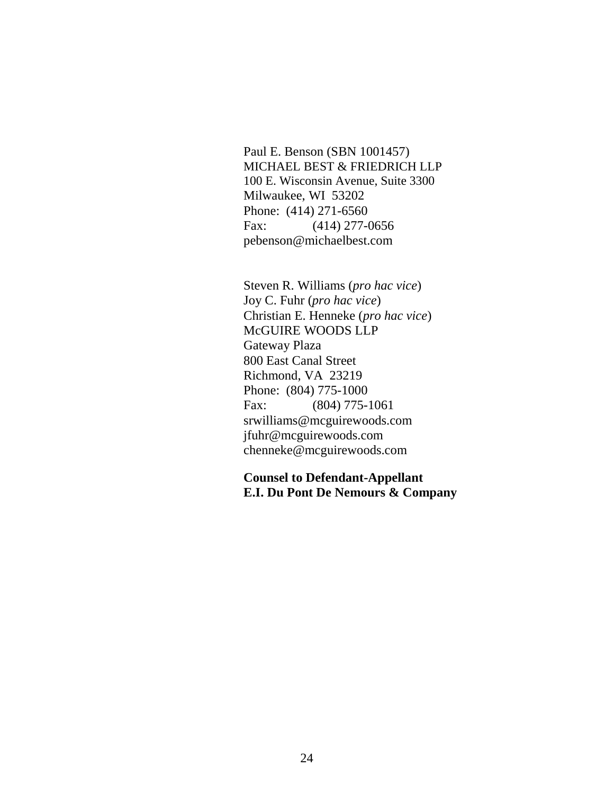Paul E. Benson (SBN 1001457) MICHAEL BEST & FRIEDRICH LLP 100 E. Wisconsin Avenue, Suite 3300 Milwaukee, WI 53202 Phone: (414) 271-6560 Fax: (414) 277-0656 pebenson@michaelbest.com

Steven R. Williams (*pro hac vice*) Joy C. Fuhr (*pro hac vice*) Christian E. Henneke (*pro hac vice*) McGUIRE WOODS LLP Gateway Plaza 800 East Canal Street Richmond, VA 23219 Phone: (804) 775-1000 Fax: (804) 775-1061 srwilliams@mcguirewoods.com jfuhr@mcguirewoods.com chenneke@mcguirewoods.com

**Counsel to Defendant-Appellant E.I. Du Pont De Nemours & Company**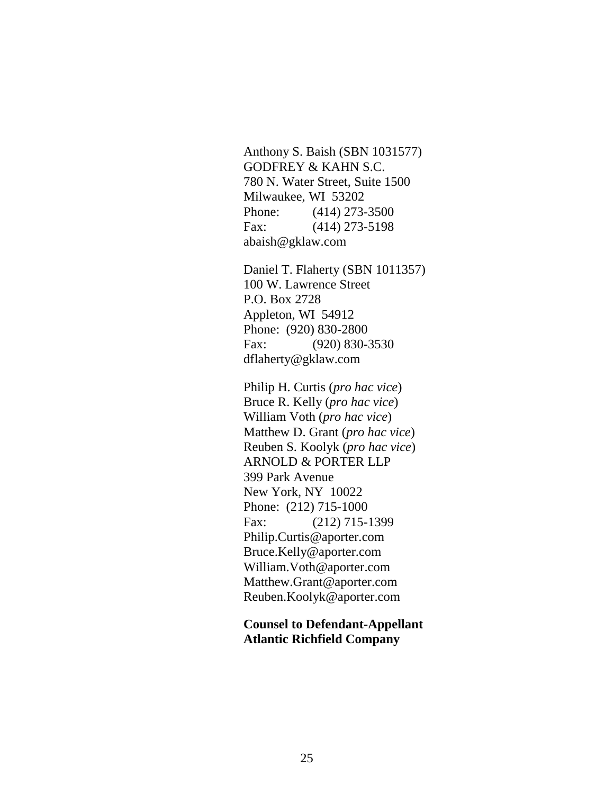Anthony S. Baish (SBN 1031577) GODFREY & KAHN S.C. 780 N. Water Street, Suite 1500 Milwaukee, WI 53202 Phone: (414) 273-3500 Fax: (414) 273-5198 abaish@gklaw.com

Daniel T. Flaherty (SBN 1011357) 100 W. Lawrence Street P.O. Box 2728 Appleton, WI 54912 Phone: (920) 830-2800 Fax: (920) 830-3530 dflaherty@gklaw.com

Philip H. Curtis (*pro hac vice*) Bruce R. Kelly (*pro hac vice*) William Voth (*pro hac vice*) Matthew D. Grant (*pro hac vice*) Reuben S. Koolyk (*pro hac vice*) ARNOLD & PORTER LLP 399 Park Avenue New York, NY 10022 Phone: (212) 715-1000 Fax: (212) 715-1399 Philip.Curtis@aporter.com Bruce.Kelly@aporter.com William.Voth@aporter.com Matthew.Grant@aporter.com Reuben.Koolyk@aporter.com

**Counsel to Defendant-Appellant Atlantic Richfield Company**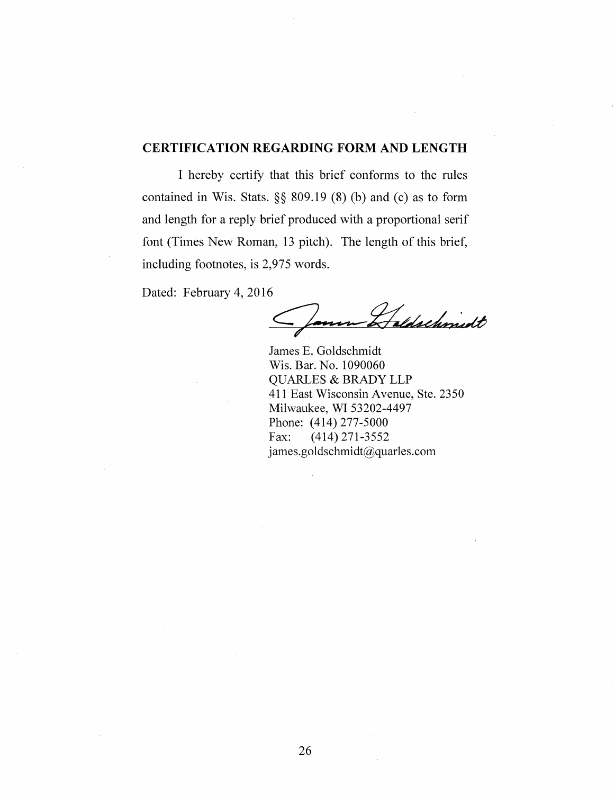### **CERTIFICATION REGARDING FORM AND LENGTH**

I hereby certify that this brief conforms to the rules contained in Wis. Stats. §§ 809.19 (8) (b) and (c) as to form and length for a reply brief produced with a proportional serif font (Times New Roman, 13 pitch). The length of this brief, including footnotes, is 2,975 words.

Dated: February 4, 2016

Haldschmidt

James E. Goldschmidt Wis. Bar. No. 1090060 QUARLES & BRADY LLP 411 East Wisconsin Avenue, Ste. 2350 Milwaukee, WI 53202-4497 Phone: (414) 277-5000 Fax: (414) 271-3552 james.goldschmidt@quarles.com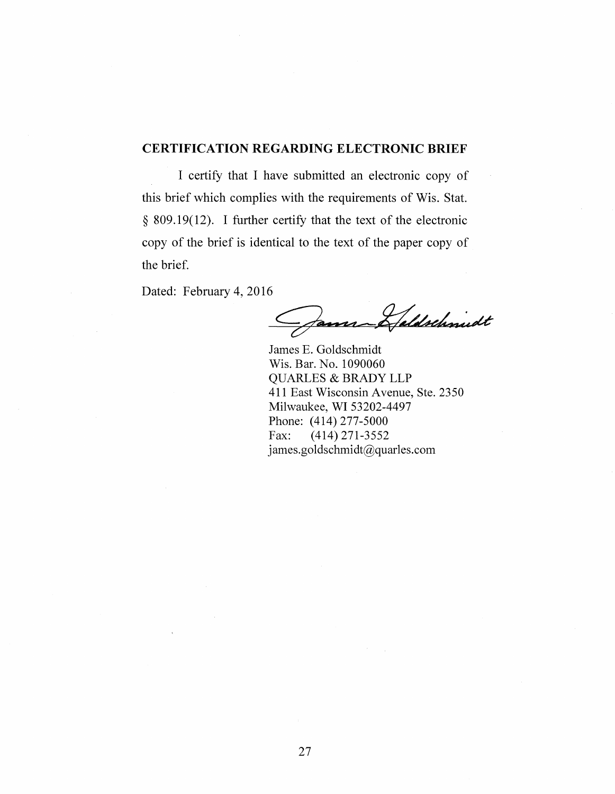#### **CERTIFICATION REGARDING ELECTRONIC BRIEF**

I certify that I have submitted an electronic copy of this brief which complies with the requirements of Wis. Stat. § 809.19(12). I further certify that the text of the electronic copy of the brief is identical to the text of the paper copy of the brief.

Dated: February 4, 2016

James Haldschmidt

James E. Goldschmidt Wis. Bar. No. 1090060 QUARLES & BRADY LLP 411 East Wisconsin Avenue, Ste. 2350 Milwaukee, WI 53202-4497 Phone: (414) 277-5000 Fax: (414) 271-3552 james.goldschmidt@quarles.com